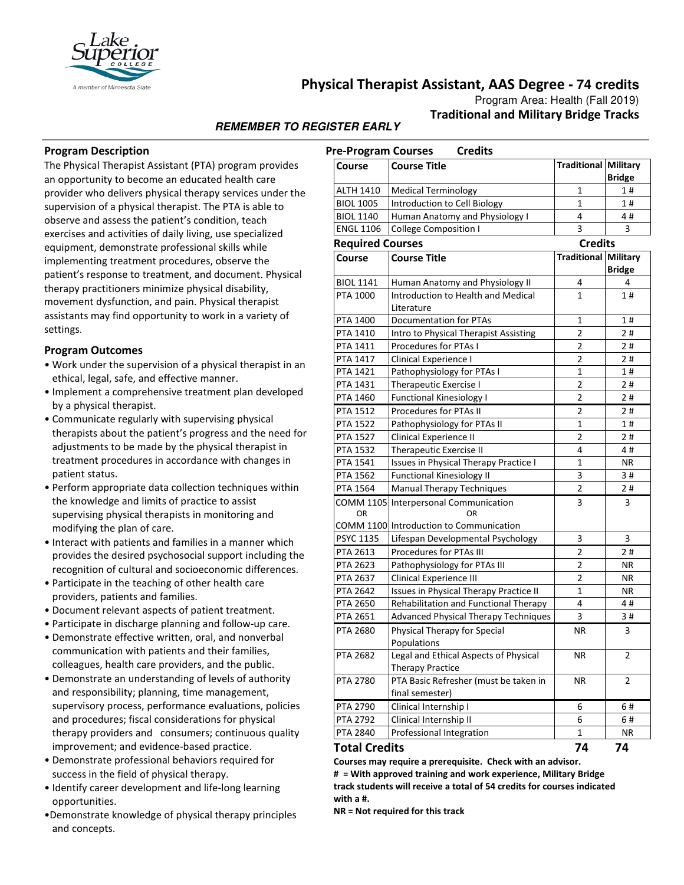

# **Physical Therapist Assistant, AAS Degree - 74 credits**

Program Area: Health (Fall 2019) **Traditional and Military Bridge Tracks**

## **REMEMBER TO REGISTER EARLY**

#### **Program Description**

The Physical Therapist Assistant (PTA) program provides an opportunity to become an educated health care provider who delivers physical therapy services under the supervision of a physical therapist. The PTA is able to observe and assess the patient's condition, teach exercises and activities of daily living, use specialized equipment, demonstrate professional skills while implementing treatment procedures, observe the patient's response to treatment, and document. Physical therapy practitioners minimize physical disability, movement dysfunction, and pain. Physical therapist assistants may find opportunity to work in a variety of settings.

#### **Program Outcomes**

- Work under the supervision of a physical therapist in an ethical, legal, safe, and effective manner.
- Implement a comprehensive treatment plan developed by a physical therapist.
- Communicate regularly with supervising physical therapists about the patient's progress and the need for adjustments to be made by the physical therapist in treatment procedures in accordance with changes in patient status.
- Perform appropriate data collection techniques within the knowledge and limits of practice to assist supervising physical therapists in monitoring and modifying the plan of care.
- Interact with patients and families in a manner which provides the desired psychosocial support including the recognition of cultural and socioeconomic differences.
- Participate in the teaching of other health care providers, patients and families.
- Document relevant aspects of patient treatment.
- Participate in discharge planning and follow-up care.
- Demonstrate effective written, oral, and nonverbal communication with patients and their families, colleagues, health care providers, and the public.
- Demonstrate an understanding of levels of authority and responsibility; planning, time management, supervisory process, performance evaluations, policies and procedures; fiscal considerations for physical therapy providers and consumers; continuous quality improvement; and evidence-based practice.
- Demonstrate professional behaviors required for success in the field of physical therapy.
- Identify career development and life-long learning opportunities.
- •Demonstrate knowledge of physical therapy principles and concepts.

| <b>Credits</b><br><b>Pre-Program Courses</b> |                                         |                             |               |
|----------------------------------------------|-----------------------------------------|-----------------------------|---------------|
| Course                                       | <b>Course Title</b>                     | <b>Traditional Military</b> | <b>Bridge</b> |
| ALTH 1410                                    | <b>Medical Terminology</b>              | 1                           | 1#            |
| <b>BIOL 1005</b>                             | Introduction to Cell Biology            | 1                           | 1#            |
| <b>BIOL 1140</b>                             | Human Anatomy and Physiology I          | 4                           | 4#            |
| <b>ENGL 1106</b>                             | <b>College Composition I</b>            | 3                           | 3             |
| <b>Required Courses</b>                      |                                         | <b>Credits</b>              |               |
| Course                                       | <b>Course Title</b>                     | Traditional Military        |               |
|                                              |                                         |                             | <b>Bridge</b> |
| <b>BIOL 1141</b>                             | Human Anatomy and Physiology II         | 4                           | 4             |
| PTA 1000                                     | Introduction to Health and Medical      | 1                           | 1#            |
|                                              | Literature                              |                             |               |
| PTA 1400                                     | <b>Documentation for PTAs</b>           | $\mathbf{1}$                | 1#            |
| PTA 1410                                     | Intro to Physical Therapist Assisting   | 2                           | 2#            |
| PTA 1411                                     | Procedures for PTAs I                   | 2                           | 2#            |
| PTA 1417                                     | Clinical Experience I                   | $\overline{2}$              | 2#            |
| <b>PTA 1421</b>                              | Pathophysiology for PTAs I              | 1                           | 1#            |
| PTA 1431                                     | Therapeutic Exercise I                  | 2                           | 2#            |
| <b>PTA 1460</b>                              | <b>Functional Kinesiology I</b>         | 2                           | 2#            |
| PTA 1512                                     | Procedures for PTAs II                  | 2                           | 2#            |
| <b>PTA 1522</b>                              | Pathophysiology for PTAs II             | 1                           | 1#            |
| <b>PTA 1527</b>                              | <b>Clinical Experience II</b>           | 2                           | 2#            |
| <b>PTA 1532</b>                              | <b>Therapeutic Exercise II</b>          | 4                           | 4#            |
| PTA 1541                                     | Issues in Physical Therapy Practice I   | 1                           | ΝR            |
| PTA 1562                                     | <b>Functional Kinesiology II</b>        | 3                           | 3#            |
| PTA 1564                                     | <b>Manual Therapy Techniques</b>        | $\overline{2}$              | 2#            |
|                                              | COMM 1105 Interpersonal Communication   | 3                           | 3             |
| OR                                           | OR                                      |                             |               |
|                                              | COMM 1100 Introduction to Communication |                             |               |
| <b>PSYC 1135</b>                             | Lifespan Developmental Psychology       | 3                           | 3             |
| PTA 2613                                     | <b>Procedures for PTAs III</b>          | 2                           | 2#            |
| <b>PTA 2623</b>                              | Pathophysiology for PTAs III            | 2                           | ΝR            |
| <b>PTA 2637</b>                              | Clinical Experience III                 | 2                           | ΝR            |
| <b>PTA 2642</b>                              | Issues in Physical Therapy Practice II  | 1                           | ΝR            |
| <b>PTA 2650</b>                              | Rehabilitation and Functional Therapy   | 4                           | 4#            |
| PTA 2651                                     | Advanced Physical Therapy Techniques    | 3                           | 3#            |
| PTA 2680                                     | Physical Therapy for Special            | ΝR                          | 3             |
|                                              | Populations                             |                             |               |
| <b>PTA 2682</b>                              | Legal and Ethical Aspects of Physical   | ΝR                          | 2             |
|                                              | <b>Therapy Practice</b>                 |                             |               |
| <b>PTA 2780</b>                              | PTA Basic Refresher (must be taken in   | ΝR                          | 2             |
|                                              | final semester)                         |                             |               |
| PTA 2790                                     | Clinical Internship I                   | 6                           | 6#            |
| PTA 2792                                     | Clinical Internship II                  | 6                           | 6#            |
| PTA 2840                                     | Professional Integration                | 1                           | NR            |
|                                              |                                         | ה ל                         | <b>7A</b>     |

#### **Total Credits 74 74**

**Courses may require a prerequisite. Check with an advisor. # = With approved training and work experience, Military Bridge track students will receive a total of 54 credits for courses indicated with a #.** 

**NR = Not required for this track**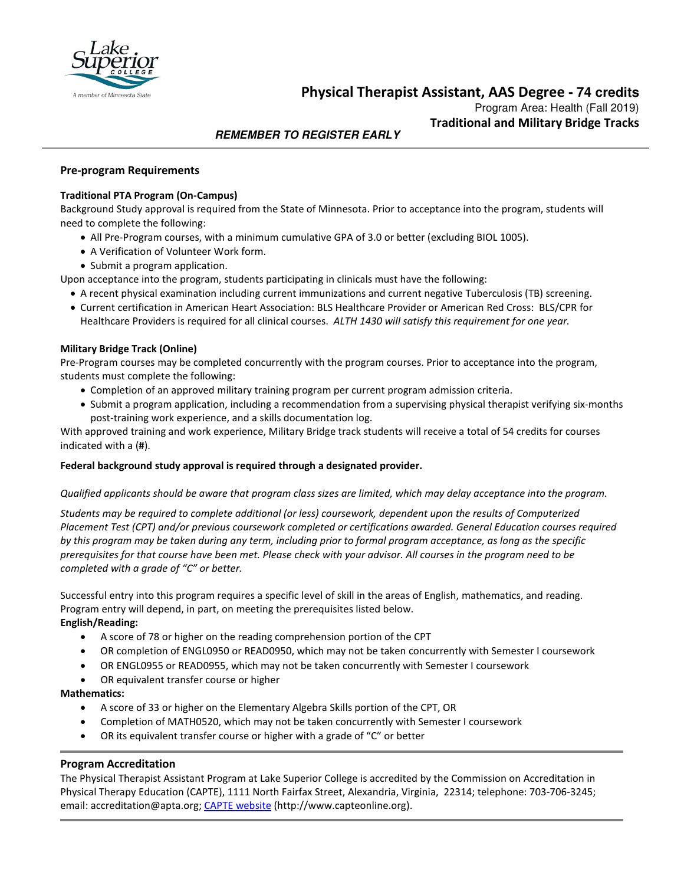

**Physical Therapist Assistant, AAS Degree - 74 credits**

Program Area: Health (Fall 2019) **Traditional and Military Bridge Tracks**

## **REMEMBER TO REGISTER EARLY**

### **Pre-program Requirements**

#### **Traditional PTA Program (On-Campus)**

Background Study approval is required from the State of Minnesota. Prior to acceptance into the program, students will need to complete the following:

- All Pre-Program courses, with a minimum cumulative GPA of 3.0 or better (excluding BIOL 1005).
- A Verification of Volunteer Work form.
- Submit a program application.

Upon acceptance into the program, students participating in clinicals must have the following:

- A recent physical examination including current immunizations and current negative Tuberculosis (TB) screening.
- Current certification in American Heart Association: BLS Healthcare Provider or American Red Cross: BLS/CPR for Healthcare Providers is required for all clinical courses. *ALTH 1430 will satisfy this requirement for one year.*

#### **Military Bridge Track (Online)**

Pre-Program courses may be completed concurrently with the program courses. Prior to acceptance into the program, students must complete the following:

- Completion of an approved military training program per current program admission criteria.
- Submit a program application, including a recommendation from a supervising physical therapist verifying six-months post-training work experience, and a skills documentation log.

With approved training and work experience, Military Bridge track students will receive a total of 54 credits for courses indicated with a (**#**).

#### **Federal background study approval is required through a designated provider.**

#### *Qualified applicants should be aware that program class sizes are limited, which may delay acceptance into the program.*

*Students may be required to complete additional (or less) coursework, dependent upon the results of Computerized Placement Test (CPT) and/or previous coursework completed or certifications awarded. General Education courses required by this program may be taken during any term, including prior to formal program acceptance, as long as the specific prerequisites for that course have been met. Please check with your advisor. All courses in the program need to be completed with a grade of "C" or better.*

Successful entry into this program requires a specific level of skill in the areas of English, mathematics, and reading. Program entry will depend, in part, on meeting the prerequisites listed below.

#### **English/Reading:**

- A score of 78 or higher on the reading comprehension portion of the CPT
- OR completion of ENGL0950 or READ0950, which may not be taken concurrently with Semester I coursework
- OR ENGL0955 or READ0955, which may not be taken concurrently with Semester I coursework
- OR equivalent transfer course or higher

#### **Mathematics:**

- A score of 33 or higher on the Elementary Algebra Skills portion of the CPT, OR
- Completion of MATH0520, which may not be taken concurrently with Semester I coursework
- OR its equivalent transfer course or higher with a grade of "C" or better

#### **Program Accreditation**

The Physical Therapist Assistant Program at Lake Superior College is accredited by the Commission on Accreditation in Physical Therapy Education (CAPTE), 1111 North Fairfax Street, Alexandria, Virginia, 22314; telephone: 703-706-3245; email: accreditation@apta.org; [CAPTE website](http://www.capteonline.org/) (http://www.capteonline.org).